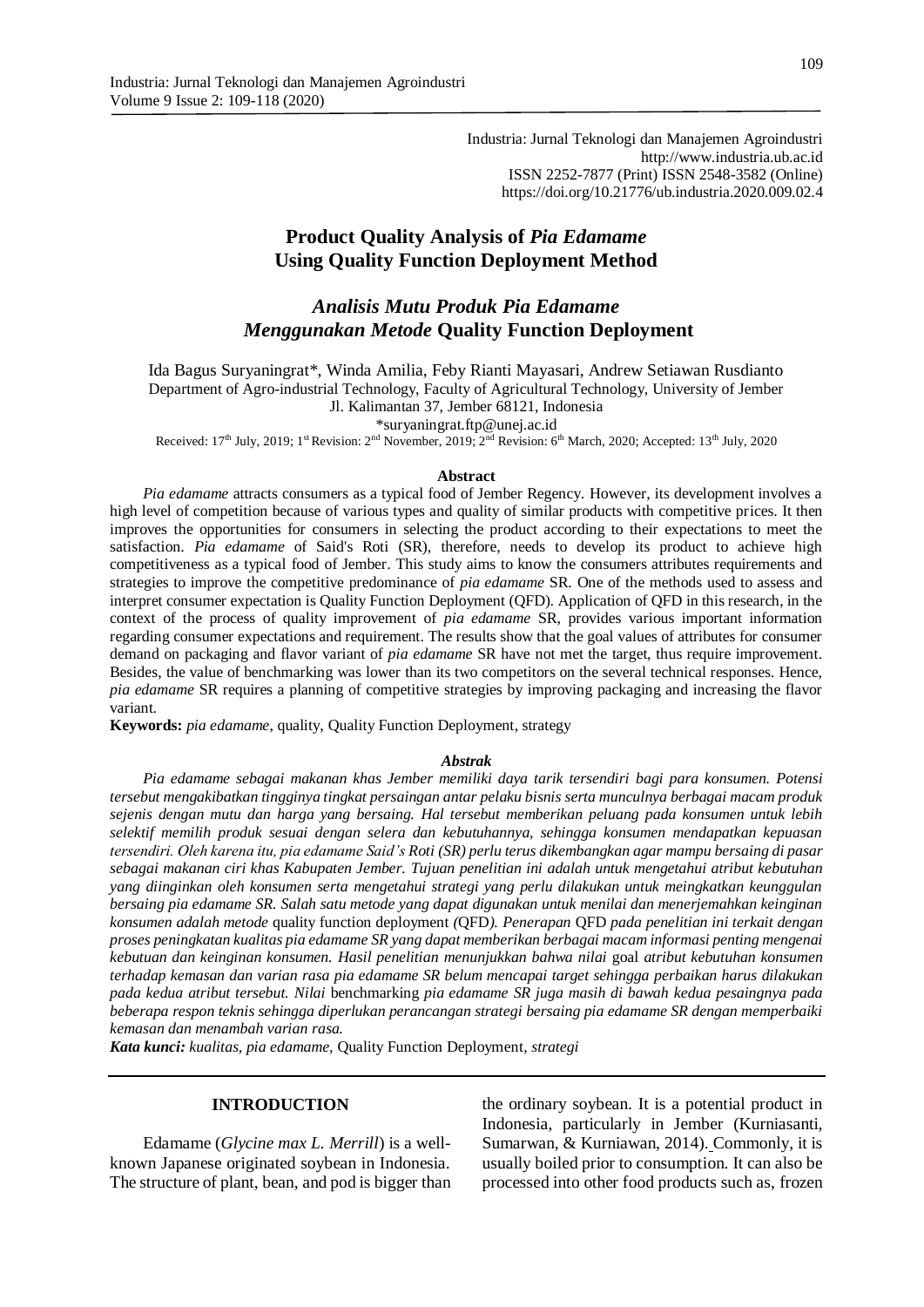Industria: Jurnal Teknologi dan Manajemen Agroindustri http://www.industria.ub.ac.id ISSN 2252-7877 (Print) ISSN 2548-3582 (Online) https://doi.org/10.21776/ub.industria.2020.009.02.4

# **Product Quality Analysis of** *Pia Edamame* **Using Quality Function Deployment Method**

# *Analisis Mutu Produk Pia Edamame Menggunakan Metode* **Quality Function Deployment**

Ida Bagus Suryaningrat\*, Winda Amilia, Feby Rianti Mayasari, Andrew Setiawan Rusdianto Department of Agro-industrial Technology, Faculty of Agricultural Technology, University of Jember Jl. Kalimantan 37, Jember 68121, Indonesia

\*suryaningrat.ftp@unej.ac.id

Received: 17<sup>th</sup> July, 2019; 1<sup>st</sup> Revision: 2<sup>nd</sup> November, 2019; 2<sup>nd</sup> Revision: 6<sup>th</sup> March, 2020; Accepted: 13<sup>th</sup> July, 2020

#### **Abstract**

*Pia edamame* attracts consumers as a typical food of Jember Regency. However, its development involves a high level of competition because of various types and quality of similar products with competitive prices. It then improves the opportunities for consumers in selecting the product according to their expectations to meet the satisfaction. *Pia edamame* of Said's Roti (SR), therefore, needs to develop its product to achieve high competitiveness as a typical food of Jember. This study aims to know the consumers attributes requirements and strategies to improve the competitive predominance of *pia edamame* SR. One of the methods used to assess and interpret consumer expectation is Quality Function Deployment (QFD). Application of QFD in this research, in the context of the process of quality improvement of *pia edamame* SR, provides various important information regarding consumer expectations and requirement. The results show that the goal values of attributes for consumer demand on packaging and flavor variant of *pia edamame* SR have not met the target, thus require improvement. Besides, the value of benchmarking was lower than its two competitors on the several technical responses. Hence, *pia edamame* SR requires a planning of competitive strategies by improving packaging and increasing the flavor variant.

**Keywords:** *pia edamame*, quality, Quality Function Deployment, strategy

#### *Abstrak*

*Pia edamame sebagai makanan khas Jember memiliki daya tarik tersendiri bagi para konsumen. Potensi tersebut mengakibatkan tingginya tingkat persaingan antar pelaku bisnis serta munculnya berbagai macam produk sejenis dengan mutu dan harga yang bersaing. Hal tersebut memberikan peluang pada konsumen untuk lebih selektif memilih produk sesuai dengan selera dan kebutuhannya, sehingga konsumen mendapatkan kepuasan tersendiri. Oleh karena itu, pia edamame Said's Roti (SR) perlu terus dikembangkan agar mampu bersaing di pasar sebagai makanan ciri khas Kabupaten Jember. Tujuan penelitian ini adalah untuk mengetahui atribut kebutuhan yang diinginkan oleh konsumen serta mengetahui strategi yang perlu dilakukan untuk meingkatkan keunggulan bersaing pia edamame SR. Salah satu metode yang dapat digunakan untuk menilai dan menerjemahkan keinginan konsumen adalah metode* quality function deployment *(*QFD*). Penerapan* QFD *pada penelitian ini terkait dengan proses peningkatan kualitas pia edamame SR yang dapat memberikan berbagai macam informasi penting mengenai kebutuan dan keinginan konsumen. Hasil penelitian menunjukkan bahwa nilai* goal *atribut kebutuhan konsumen terhadap kemasan dan varian rasa pia edamame SR belum mencapai target sehingga perbaikan harus dilakukan pada kedua atribut tersebut. Nilai* benchmarking *pia edamame SR juga masih di bawah kedua pesaingnya pada beberapa respon teknis sehingga diperlukan perancangan strategi bersaing pia edamame SR dengan memperbaiki kemasan dan menambah varian rasa.*

*Kata kunci: kualitas, pia edamame,* Quality Function Deployment, *strategi*

#### **INTRODUCTION**

Edamame (*Glycine max L. Merrill*) is a wellknown Japanese originated soybean in Indonesia. The structure of plant, bean, and pod is bigger than the ordinary soybean. It is a potential product in Indonesia, particularly in Jember (Kurniasanti, Sumarwan, & Kurniawan, 2014). Commonly, it is usually boiled prior to consumption. It can also be processed into other food products such as, frozen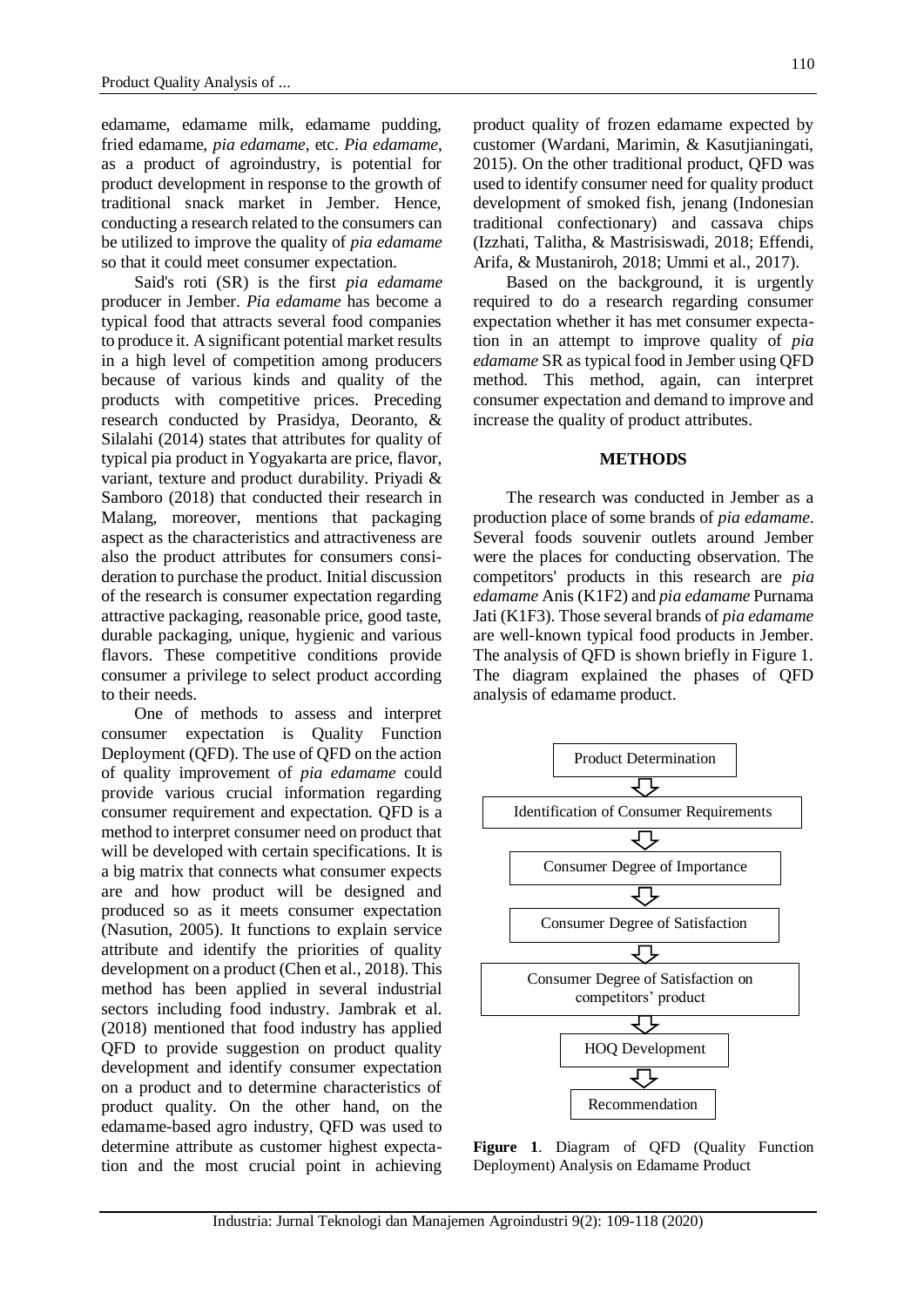edamame, edamame milk, edamame pudding, fried edamame, *pia edamame*, etc. *Pia edamame*, as a product of agroindustry, is potential for product development in response to the growth of traditional snack market in Jember. Hence, conducting a research related to the consumers can be utilized to improve the quality of *pia edamame* so that it could meet consumer expectation.

Said's roti (SR) is the first *pia edamame* producer in Jember. *Pia edamame* has become a typical food that attracts several food companies to produce it. A significant potential market results in a high level of competition among producers because of various kinds and quality of the products with competitive prices. Preceding research conducted by Prasidya, Deoranto, & Silalahi (2014) states that attributes for quality of typical pia product in Yogyakarta are price, flavor, variant, texture and product durability. Priyadi & Samboro (2018) that conducted their research in Malang, moreover, mentions that packaging aspect as the characteristics and attractiveness are also the product attributes for consumers consideration to purchase the product. Initial discussion of the research is consumer expectation regarding attractive packaging, reasonable price, good taste, durable packaging, unique, hygienic and various flavors. These competitive conditions provide consumer a privilege to select product according to their needs.

One of methods to assess and interpret consumer expectation is Quality Function Deployment (QFD). The use of QFD on the action of quality improvement of *pia edamame* could provide various crucial information regarding consumer requirement and expectation. QFD is a method to interpret consumer need on product that will be developed with certain specifications. It is a big matrix that connects what consumer expects are and how product will be designed and produced so as it meets consumer expectation (Nasution, 2005). It functions to explain service attribute and identify the priorities of quality development on a product (Chen et al., 2018). This method has been applied in several industrial sectors including food industry. Jambrak et al. (2018) mentioned that food industry has applied QFD to provide suggestion on product quality development and identify consumer expectation on a product and to determine characteristics of product quality. On the other hand, on the edamame-based agro industry, QFD was used to determine attribute as customer highest expectation and the most crucial point in achieving product quality of frozen edamame expected by customer (Wardani, Marimin, & Kasutjianingati, 2015). On the other traditional product, QFD was used to identify consumer need for quality product development of smoked fish, jenang (Indonesian traditional confectionary) and cassava chips (Izzhati, Talitha, & Mastrisiswadi, 2018; Effendi, Arifa, & Mustaniroh, 2018; Ummi et al., 2017).

Based on the background, it is urgently required to do a research regarding consumer expectation whether it has met consumer expectation in an attempt to improve quality of *pia edamame* SR as typical food in Jember using QFD method. This method, again, can interpret consumer expectation and demand to improve and increase the quality of product attributes.

### **METHODS**

The research was conducted in Jember as a production place of some brands of *pia edamame*. Several foods souvenir outlets around Jember were the places for conducting observation. The competitors' products in this research are *pia edamame* Anis (K1F2) and *pia edamame* Purnama Jati (K1F3). Those several brands of *pia edamame* are well-known typical food products in Jember. The analysis of QFD is shown briefly in Figure 1. The diagram explained the phases of QFD analysis of edamame product.



**Figure 1**. Diagram of QFD (Quality Function Deployment) Analysis on Edamame Product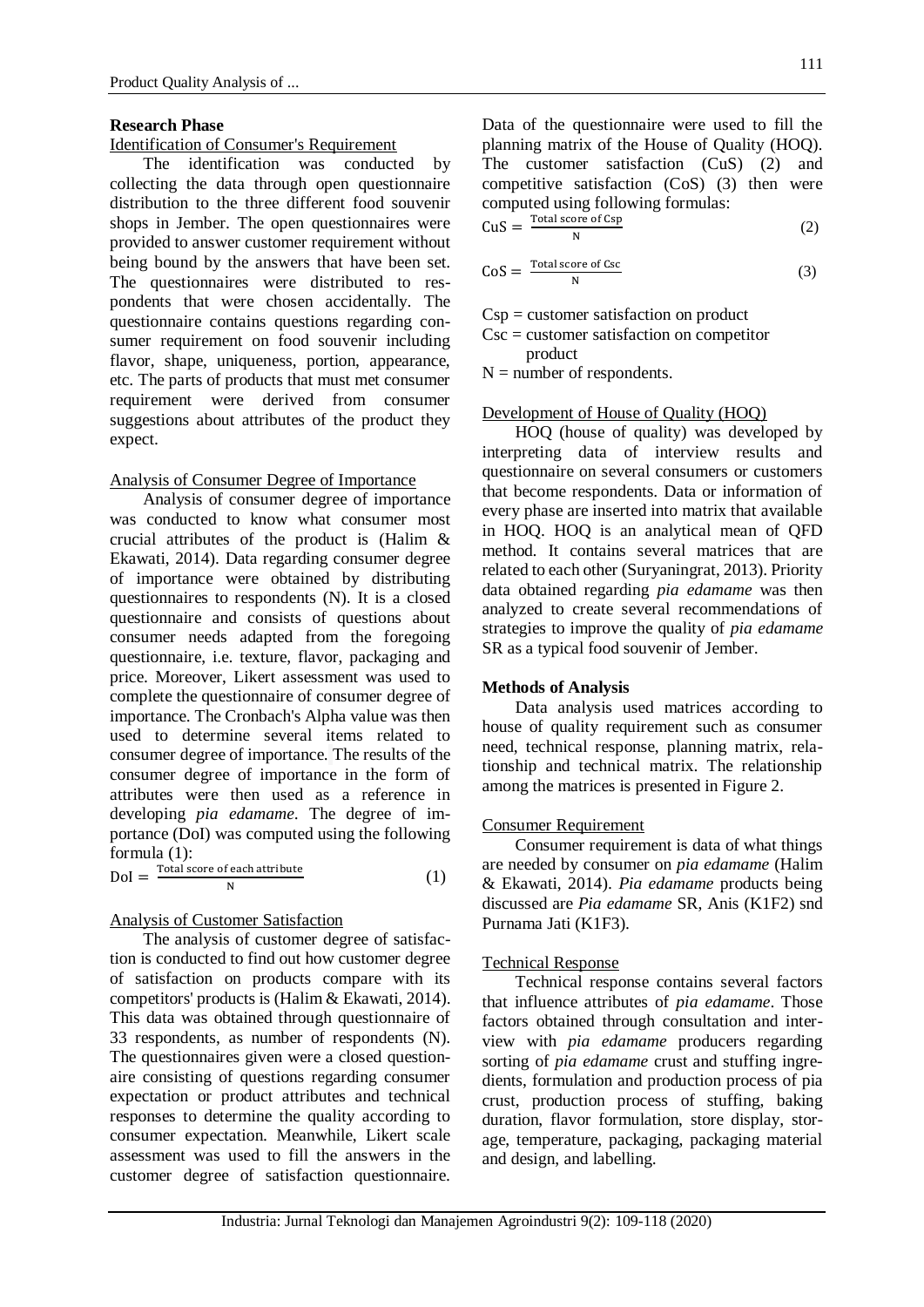### **Research Phase**

# Identification of Consumer's Requirement

The identification was conducted by collecting the data through open questionnaire distribution to the three different food souvenir shops in Jember. The open questionnaires were provided to answer customer requirement without being bound by the answers that have been set. The questionnaires were distributed to respondents that were chosen accidentally. The questionnaire contains questions regarding consumer requirement on food souvenir including flavor, shape, uniqueness, portion, appearance, etc. The parts of products that must met consumer requirement were derived from consumer suggestions about attributes of the product they expect.

### Analysis of Consumer Degree of Importance

Analysis of consumer degree of importance was conducted to know what consumer most crucial attributes of the product is (Halim & Ekawati, 2014). Data regarding consumer degree of importance were obtained by distributing questionnaires to respondents (N). It is a closed questionnaire and consists of questions about consumer needs adapted from the foregoing questionnaire, i.e. texture, flavor, packaging and price. Moreover, Likert assessment was used to complete the questionnaire of consumer degree of importance. The Cronbach's Alpha value was then used to determine several items related to consumer degree of importance. The results of the consumer degree of importance in the form of attributes were then used as a reference in developing *pia edamame*. The degree of importance (DoI) was computed using the following formula (1):

$$
Dol = \frac{\text{Total score of each attribute}}{N}
$$
 (1)

# Analysis of Customer Satisfaction

The analysis of customer degree of satisfaction is conducted to find out how customer degree of satisfaction on products compare with its competitors' products is (Halim & Ekawati, 2014). This data was obtained through questionnaire of 33 respondents, as number of respondents (N). The questionnaires given were a closed questionaire consisting of questions regarding consumer expectation or product attributes and technical responses to determine the quality according to consumer expectation. Meanwhile, Likert scale assessment was used to fill the answers in the customer degree of satisfaction questionnaire.

Data of the questionnaire were used to fill the planning matrix of the House of Quality (HOQ). The customer satisfaction (CuS) (2) and competitive satisfaction (CoS) (3) then were computed using following formulas:

$$
CuS = \frac{\text{Total score of Csp}}{N}
$$
 (2)

$$
CoS = \frac{\text{Total score of Csc}}{N}
$$
 (3)

 $Csp =$  customer satisfaction on product

 $Csc =$  customer satisfaction on competitor product

 $N =$  number of respondents.

#### Development of House of Quality (HOQ)

HOQ (house of quality) was developed by interpreting data of interview results and questionnaire on several consumers or customers that become respondents. Data or information of every phase are inserted into matrix that available in HOQ. HOQ is an analytical mean of QFD method. It contains several matrices that are related to each other (Suryaningrat, 2013). Priority data obtained regarding *pia edamame* was then analyzed to create several recommendations of strategies to improve the quality of *pia edamame* SR as a typical food souvenir of Jember.

### **Methods of Analysis**

Data analysis used matrices according to house of quality requirement such as consumer need, technical response, planning matrix, relationship and technical matrix. The relationship among the matrices is presented in Figure 2.

### Consumer Requirement

Consumer requirement is data of what things are needed by consumer on *pia edamame* (Halim & Ekawati, 2014). *Pia edamame* products being discussed are *Pia edamame* SR, Anis (K1F2) snd Purnama Jati (K1F3).

### Technical Response

Technical response contains several factors that influence attributes of *pia edamame*. Those factors obtained through consultation and interview with *pia edamame* producers regarding sorting of *pia edamame* crust and stuffing ingredients, formulation and production process of pia crust, production process of stuffing, baking duration, flavor formulation, store display, storage, temperature, packaging, packaging material and design, and labelling.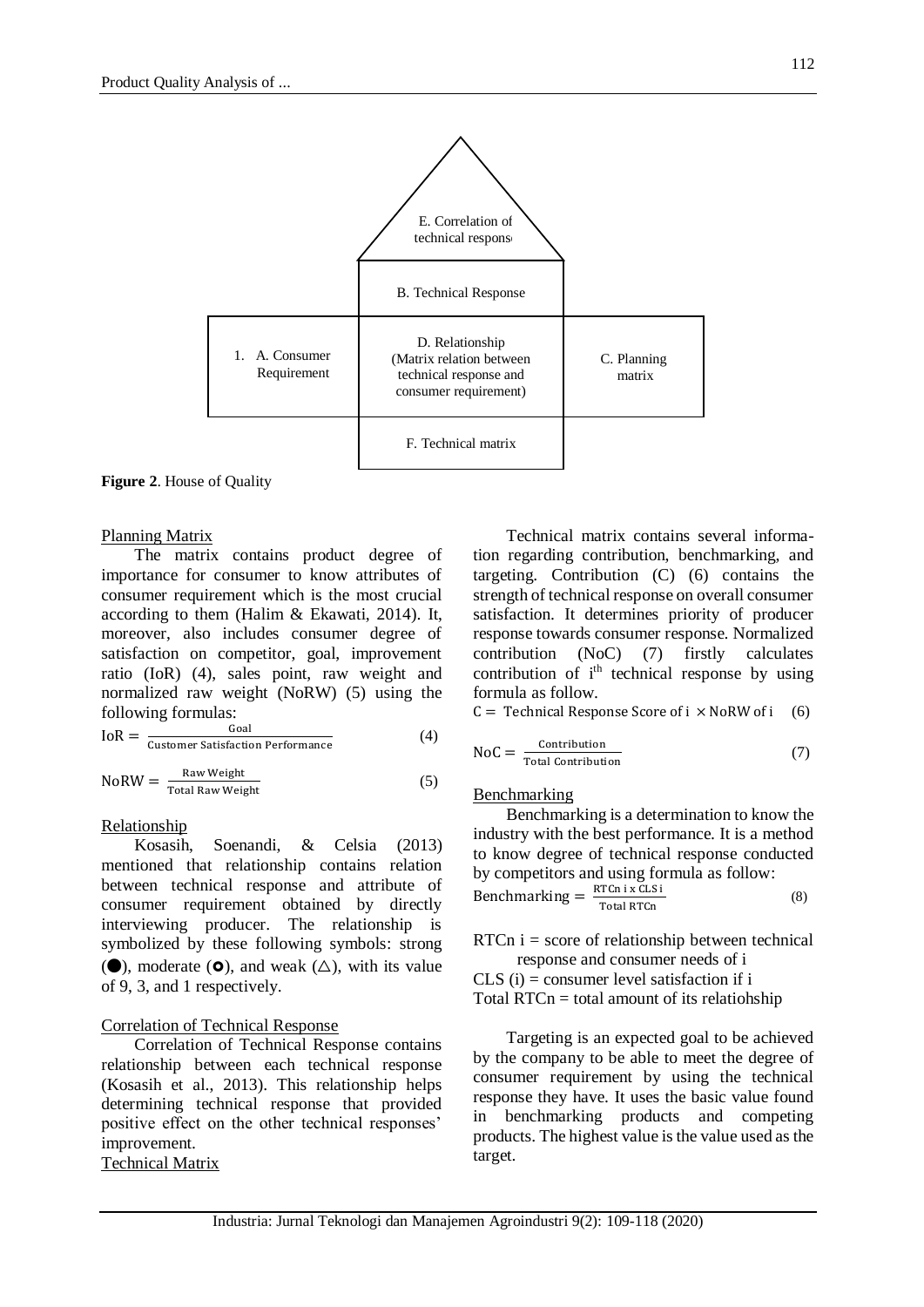

**Figure 2**. House of Quality

#### Planning Matrix

The matrix contains product degree of importance for consumer to know attributes of consumer requirement which is the most crucial according to them (Halim & Ekawati, 2014). It, moreover, also includes consumer degree of satisfaction on competitor, goal, improvement ratio (IoR) (4), sales point, raw weight and normalized raw weight (NoRW) (5) using the following formulas:

$$
IoR = \frac{Goal}{Customer\ Satisfactor\ Performance}
$$
 (4)

$$
NoRW = \frac{Raw Weight}{Total Raw Weight}
$$
 (5)

### Relationship

Kosasih, Soenandi, & Celsia (2013) mentioned that relationship contains relation between technical response and attribute of consumer requirement obtained by directly interviewing producer. The relationship is symbolized by these following symbols: strong  $(\bullet)$ , moderate  $(\bullet)$ , and weak  $(\triangle)$ , with its value of 9, 3, and 1 respectively.

### Correlation of Technical Response

Correlation of Technical Response contains relationship between each technical response (Kosasih et al., 2013). This relationship helps determining technical response that provided positive effect on the other technical responses' improvement. Technical Matrix

Technical matrix contains several information regarding contribution, benchmarking, and targeting. Contribution (C) (6) contains the strength of technical response on overall consumer satisfaction. It determines priority of producer response towards consumer response. Normalized contribution (NoC) (7) firstly calculates contribution of i<sup>th</sup> technical response by using formula as follow.

 $C =$  Technical Response Score of  $i \times$  NoRW of  $i \in (6)$ 

$$
NoC = \frac{Continution}{Total contribution}
$$
 (7)

#### Benchmarking

Benchmarking is a determination to know the industry with the best performance. It is a method to know degree of technical response conducted by competitors and using formula as follow: Benchmarking  $=$   $\frac{\text{RTCn is x CLS i}}{\text{RTCn}}$ Total RTCn (8)

 $RTCn$  i = score of relationship between technical response and consumer needs of i

 $CLS$  (i) = consumer level satisfaction if i Total  $RTCn = total$  amount of its relationship

Targeting is an expected goal to be achieved by the company to be able to meet the degree of consumer requirement by using the technical response they have. It uses the basic value found in benchmarking products and competing products. The highest value is the value used as the target.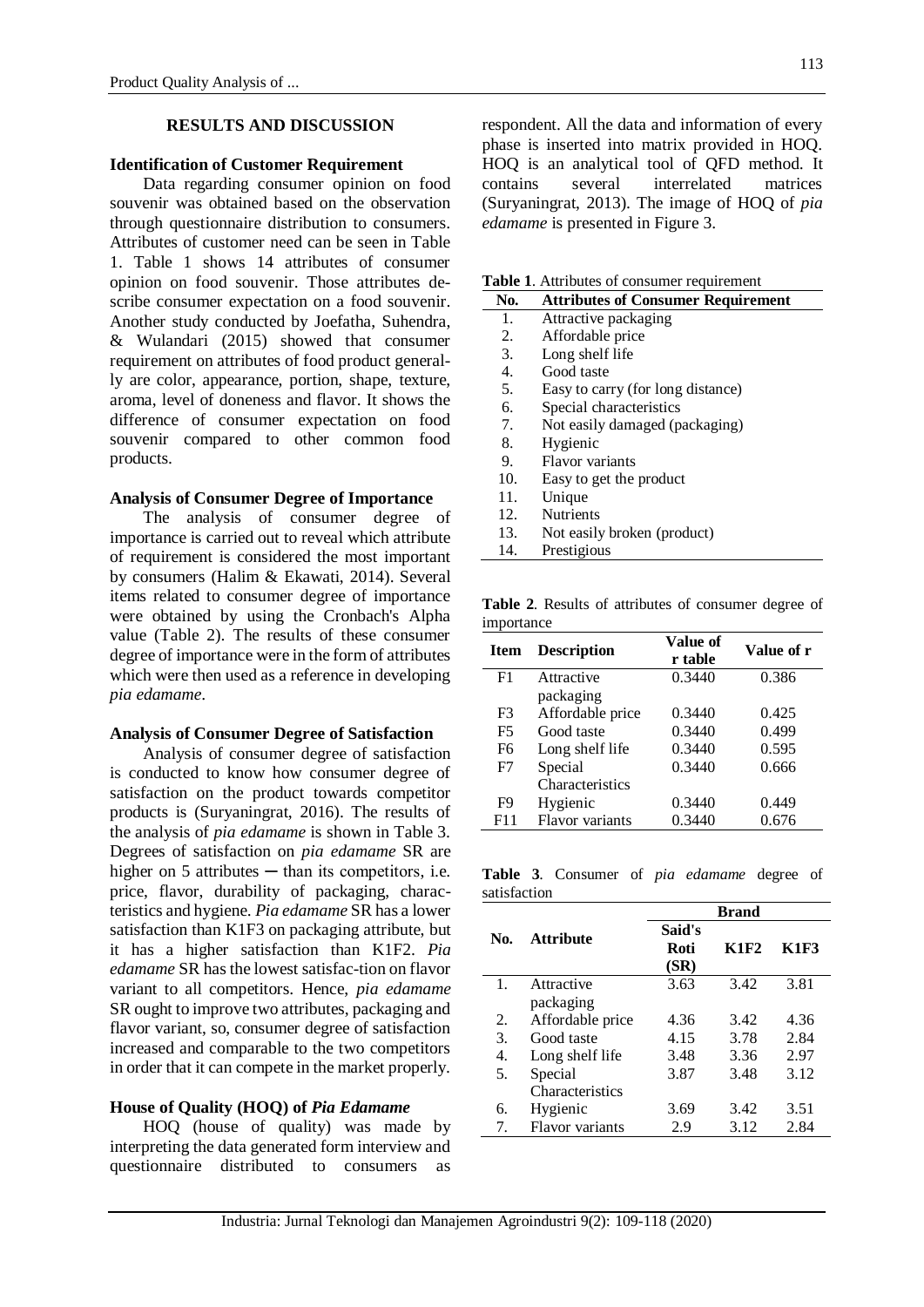#### **RESULTS AND DISCUSSION**

#### **Identification of Customer Requirement**

Data regarding consumer opinion on food souvenir was obtained based on the observation through questionnaire distribution to consumers. Attributes of customer need can be seen in Table 1. Table 1 shows 14 attributes of consumer opinion on food souvenir. Those attributes describe consumer expectation on a food souvenir. Another study conducted by Joefatha, Suhendra, & Wulandari (2015) showed that consumer requirement on attributes of food product generally are color, appearance, portion, shape, texture, aroma, level of doneness and flavor. It shows the difference of consumer expectation on food souvenir compared to other common food products.

#### **Analysis of Consumer Degree of Importance**

The analysis of consumer degree of importance is carried out to reveal which attribute of requirement is considered the most important by consumers (Halim & Ekawati, 2014). Several items related to consumer degree of importance were obtained by using the Cronbach's Alpha value (Table 2). The results of these consumer degree of importance were in the form of attributes which were then used as a reference in developing *pia edamame*.

### **Analysis of Consumer Degree of Satisfaction**

Analysis of consumer degree of satisfaction is conducted to know how consumer degree of satisfaction on the product towards competitor products is (Suryaningrat, 2016). The results of the analysis of *pia edamame* is shown in Table 3. Degrees of satisfaction on *pia edamame* SR are higher on  $5$  attributes  $-$  than its competitors, i.e. price, flavor, durability of packaging, characteristics and hygiene. *Pia edamame* SR has a lower satisfaction than K1F3 on packaging attribute, but it has a higher satisfaction than K1F2. *Pia edamame* SR has the lowest satisfac-tion on flavor variant to all competitors. Hence, *pia edamame* SR ought to improve two attributes, packaging and flavor variant, so, consumer degree of satisfaction increased and comparable to the two competitors in order that it can compete in the market properly.

### **House of Quality (HOQ) of** *Pia Edamame*

HOQ (house of quality) was made by interpreting the data generated form interview and questionnaire distributed to consumers

respondent. All the data and information of every phase is inserted into matrix provided in HOQ. HOQ is an analytical tool of QFD method. It contains several interrelated matrices (Suryaningrat, 2013). The image of HOQ of *pia edamame* is presented in Figure 3.

| Table 1. Attributes of consumer requirement |  |
|---------------------------------------------|--|
|---------------------------------------------|--|

| <b>Table 1.</b> Attributes of consumer requirement |                                           |  |  |  |  |  |
|----------------------------------------------------|-------------------------------------------|--|--|--|--|--|
| No.                                                | <b>Attributes of Consumer Requirement</b> |  |  |  |  |  |
| 1.                                                 | Attractive packaging                      |  |  |  |  |  |
| 2.                                                 | Affordable price                          |  |  |  |  |  |
| 3.                                                 | Long shelf life                           |  |  |  |  |  |
| 4.                                                 | Good taste                                |  |  |  |  |  |
| 5.                                                 | Easy to carry (for long distance)         |  |  |  |  |  |
| б.                                                 | Special characteristics                   |  |  |  |  |  |
| $7_{\scriptscriptstyle{\circ}}$                    | Not easily damaged (packaging)            |  |  |  |  |  |
| 8.                                                 | Hygienic                                  |  |  |  |  |  |
| 9.                                                 | Flavor variants                           |  |  |  |  |  |

- 10. Easy to get the product
- 11. Unique
- 12. Nutrients
- 13. Not easily broken (product)
- 14. Prestigious

**Table 2**. Results of attributes of consumer degree of importance

| <b>Item</b>    | <b>Description</b> | Value of<br>r table | Value of r |  |  |  |  |  |
|----------------|--------------------|---------------------|------------|--|--|--|--|--|
| F1             | Attractive         | 0.3440              | 0.386      |  |  |  |  |  |
|                | packaging          |                     |            |  |  |  |  |  |
| F3             | Affordable price   | 0.3440              | 0.425      |  |  |  |  |  |
| F <sub>5</sub> | Good taste         | 0.3440              | 0.499      |  |  |  |  |  |
| F6             | Long shelf life    | 0.3440              | 0.595      |  |  |  |  |  |
| F7             | Special            | 0.3440              | 0.666      |  |  |  |  |  |
|                | Characteristics    |                     |            |  |  |  |  |  |
| F9             | Hygienic           | 0.3440              | 0.449      |  |  |  |  |  |
| F11            | Flavor variants    | 0.3440              | 0.676      |  |  |  |  |  |

**Table 3**. Consumer of *pia edamame* degree of satisfaction

| No.            | <b>Attribute</b>       | Said's |      |             |  |  |
|----------------|------------------------|--------|------|-------------|--|--|
|                |                        | Roti   | K1F2 | <b>K1F3</b> |  |  |
|                |                        | (SR)   |      |             |  |  |
| $\mathbf{1}$ . | Attractive             | 3.63   | 3.42 | 3.81        |  |  |
|                | packaging              |        |      |             |  |  |
| 2.             | Affordable price       | 4.36   | 3.42 | 4.36        |  |  |
| 3.             | Good taste             | 4.15   | 3.78 | 2.84        |  |  |
| 4.             | Long shelf life        | 3.48   | 3.36 | 2.97        |  |  |
| 5.             | Special                | 3.87   | 3.48 | 3.12        |  |  |
|                | Characteristics        |        |      |             |  |  |
| б.             | Hygienic               | 3.69   | 3.42 | 3.51        |  |  |
| 7.             | <b>Flavor</b> variants | 2.9    | 3.12 | 2.84        |  |  |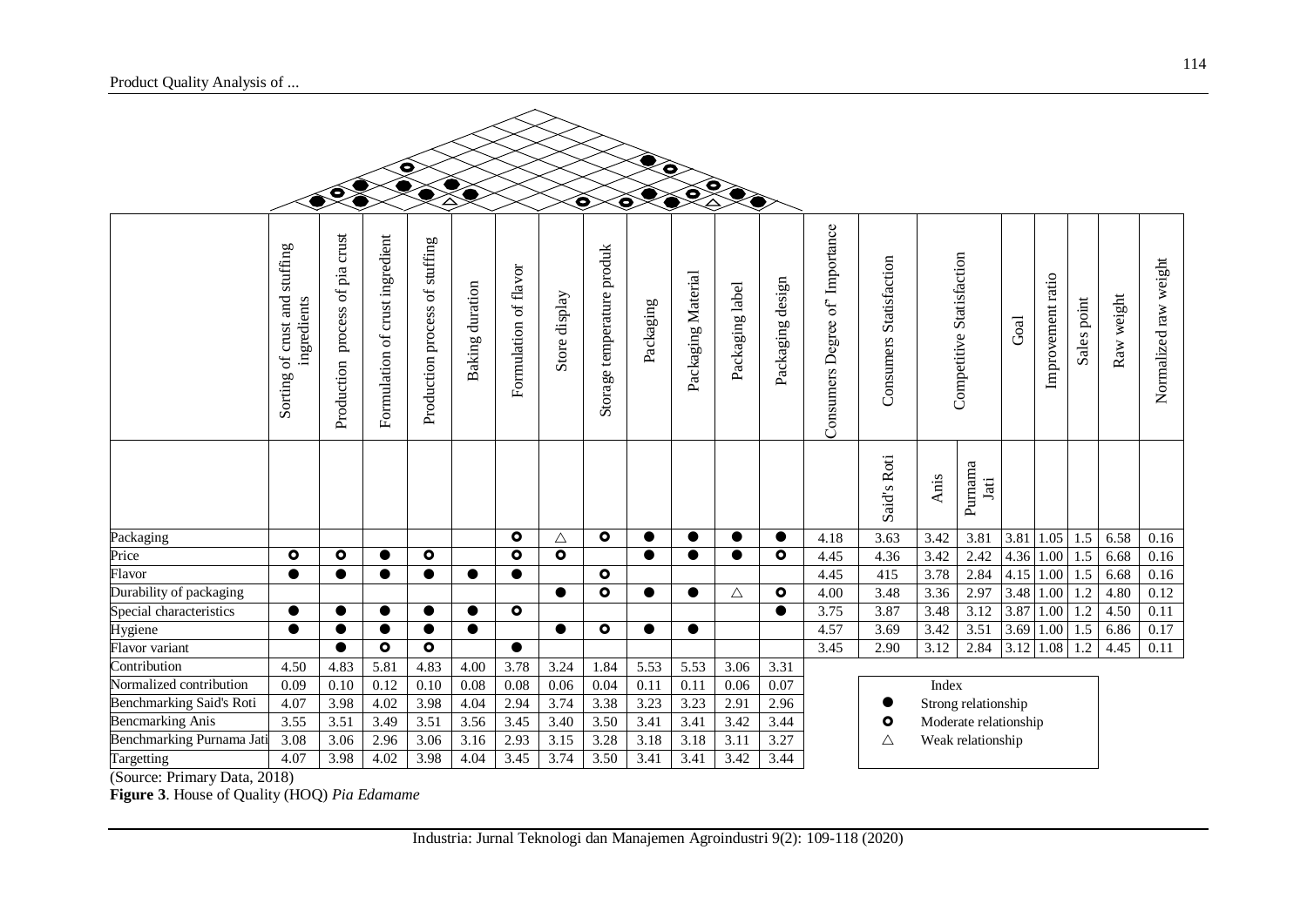|                           |                                                                                                                    |           |                                | $\bullet$                                |           |               |                            |                      |                    | $\hat{\mathbf{e}}$                                  |                  |                                 |                         |                           |                       |                   |                   |             |            |                       |      |
|---------------------------|--------------------------------------------------------------------------------------------------------------------|-----------|--------------------------------|------------------------------------------|-----------|---------------|----------------------------|----------------------|--------------------|-----------------------------------------------------|------------------|---------------------------------|-------------------------|---------------------------|-----------------------|-------------------|-------------------|-------------|------------|-----------------------|------|
|                           |                                                                                                                    | $\bullet$ |                                | ◉<br>$\widehat{\ominus}$                 |           |               | Ô                          | Ô                    |                    | $\bigotimes_{\bullet} \bigotimes_{\bullet} \bullet$ |                  |                                 |                         |                           |                       |                   |                   |             |            |                       |      |
|                           | Production process of pia crust<br>Formulation of crust ingredient<br>Sorting of crust and stuffing<br>ingredients |           | Production process of stuffing | Formulation of flavor<br>Baking duration |           | Store display | Storage temperature produk | Packaging            | Packaging Material | Packaging label                                     | Packaging design | Consumers Degree of' Importance | Consumers Statisfaction | Competitive Statisfaction |                       | Goal              | Improvement ratio | Sales point | Raw weight | Normalized raw weight |      |
|                           |                                                                                                                    |           |                                |                                          |           |               |                            |                      |                    |                                                     |                  |                                 |                         | Said's Roti               | Anis                  | Purnama<br>Jati   |                   |             |            |                       |      |
| Packaging                 |                                                                                                                    |           |                                |                                          |           | $\bullet$     | Δ                          | $\bullet$            | $\bullet$          | $\bullet$                                           | $\bullet$        | $\bullet$                       | 4.18                    | 3.63                      | 3.42                  | 3.81              | 3.81              | 1.05        | 1.5        | 6.58                  | 0.16 |
| Price                     | $\bullet$                                                                                                          | $\bullet$ | ●                              | $\bullet$                                |           | $\bullet$     | $\bullet$                  |                      | $\bullet$          | $\bullet$                                           | ●                | $\bullet$                       | 4.45                    | 4.36                      | 3.42                  | 2.42              | 4.36              | 1.00        | 1.5        | 6.68                  | 0.16 |
| Flavor                    | $\bullet$                                                                                                          | $\bullet$ | $\bullet$                      | $\bullet$                                | $\bullet$ | $\bullet$     |                            | $\bullet$            |                    |                                                     |                  |                                 | 4.45                    | 415                       | 3.78                  | 2.84              | 4.15              | 1.00        | 1.5        | 6.68                  | 0.16 |
| Durability of packaging   |                                                                                                                    |           |                                |                                          |           |               | $\bullet$                  | $\overline{\bullet}$ | $\bullet$          | $\bullet$                                           | $\triangle$      | $\bullet$                       | 4.00                    | 3.48                      | 3.36                  | 2.97              | 3.48              | 1.00        | 1.2        | 4.80                  | 0.12 |
| Special characteristics   | $\bullet$                                                                                                          | $\bullet$ | $\bullet$                      | $\bullet$                                | $\bullet$ | $\bullet$     |                            |                      |                    |                                                     |                  | $\bullet$                       | 3.75                    | 3.87                      | 3.48                  | 3.12              | 3.87              | 1.00        | 1.2        | 4.50                  | 0.11 |
| Hygiene<br>Flavor variant | $\bullet$                                                                                                          | $\bullet$ | $\bullet$                      | $\bullet$                                | $\bullet$ |               | $\bullet$                  | $\overline{\bullet}$ | $\bullet$          | $\bullet$                                           |                  |                                 | 4.57                    | 3.69                      | 3.42                  | 3.51              | 3.69              | 1.00        | 1.5        | 6.86                  | 0.17 |
|                           |                                                                                                                    | $\bullet$ | $\bullet$                      | $\bullet$                                |           | $\bullet$     |                            |                      |                    |                                                     |                  |                                 | 3.45                    | 2.90                      | 3.12                  | 2.84              | $3.12 \mid 1.08$  |             | 1.2        | 4.45                  | 0.11 |
| Contribution              | 4.50                                                                                                               | 4.83      | 5.81                           | 4.83                                     | 4.00      | 3.78          | 3.24                       | 1.84                 | 5.53               | 5.53                                                | 3.06             | 3.31                            |                         |                           |                       |                   |                   |             |            |                       |      |
| Normalized contribution   | 0.09                                                                                                               | 0.10      | 0.12                           | $0.10\,$                                 | 0.08      | $0.08\,$      | 0.06                       | 0.04                 | 0.11               | 0.11                                                | 0.06             | 0.07                            |                         |                           | Index                 |                   |                   |             |            |                       |      |
| Benchmarking Said's Roti  | 4.07                                                                                                               | 3.98      | 4.02                           | 3.98                                     | 4.04      | 2.94          | 3.74                       | 3.38                 | 3.23               | 3.23                                                | 2.91             | 2.96                            |                         |                           | Strong relationship   |                   |                   |             |            |                       |      |
| <b>Bencmarking</b> Anis   | 3.55                                                                                                               | 3.51      | 3.49                           | 3.51                                     | 3.56      | 3.45          | 3.40                       | 3.50                 | 3.41               | 3.41                                                | 3.42             | 3.44                            |                         | $\bullet$                 | Moderate relationship |                   |                   |             |            |                       |      |
| Benchmarking Purnama Jati | 3.08                                                                                                               | 3.06      | 2.96                           | 3.06                                     | 3.16      | 2.93          | 3.15                       | 3.28                 | 3.18               | 3.18                                                | 3.11             | 3.27                            |                         | Δ                         |                       | Weak relationship |                   |             |            |                       |      |
| Targetting                | 4.07                                                                                                               | 3.98      | 4.02                           | 3.98                                     | 4.04      | 3.45          | 3.74                       | 3.50                 | 3.41               | 3.41                                                | 3.42             | 3.44                            |                         |                           |                       |                   |                   |             |            |                       |      |
|                           |                                                                                                                    |           |                                |                                          |           |               |                            |                      |                    |                                                     |                  |                                 |                         |                           |                       |                   |                   |             |            |                       |      |

(Source: Primary Data, 2018)

**Figure 3**. House of Quality (HOQ) *Pia Edamame*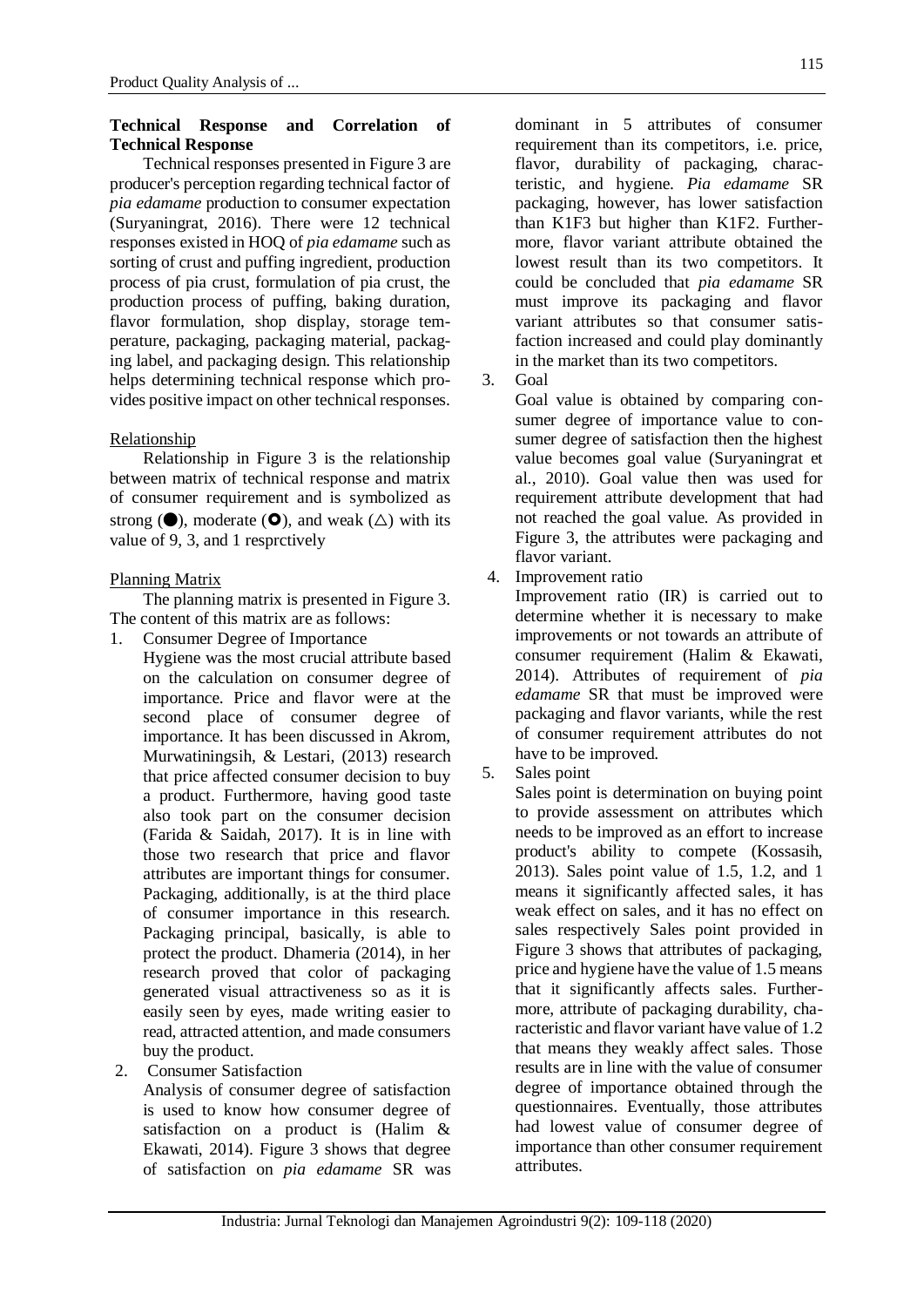# **Technical Response and Correlation of Technical Response**

Technical responses presented in Figure 3 are producer's perception regarding technical factor of *pia edamame* production to consumer expectation (Suryaningrat, 2016). There were 12 technical responses existed in HOQ of *pia edamame* such as sorting of crust and puffing ingredient, production process of pia crust, formulation of pia crust, the production process of puffing, baking duration, flavor formulation, shop display, storage temperature, packaging, packaging material, packaging label, and packaging design. This relationship helps determining technical response which provides positive impact on other technical responses.

# Relationship

Relationship in Figure 3 is the relationship between matrix of technical response and matrix of consumer requirement and is symbolized as strong ( $\bullet$ ), moderate ( $\bullet$ ), and weak ( $\triangle$ ) with its value of 9, 3, and 1 resprctively

# Planning Matrix

The planning matrix is presented in Figure 3. The content of this matrix are as follows:

1. Consumer Degree of Importance

Hygiene was the most crucial attribute based on the calculation on consumer degree of importance. Price and flavor were at the second place of consumer degree of importance. It has been discussed in Akrom, Murwatiningsih, & Lestari, (2013) research that price affected consumer decision to buy a product. Furthermore, having good taste also took part on the consumer decision (Farida & Saidah, 2017). It is in line with those two research that price and flavor attributes are important things for consumer. Packaging, additionally, is at the third place of consumer importance in this research. Packaging principal, basically, is able to protect the product. Dhameria (2014), in her research proved that color of packaging generated visual attractiveness so as it is easily seen by eyes, made writing easier to read, attracted attention, and made consumers buy the product.

2. Consumer Satisfaction

Analysis of consumer degree of satisfaction is used to know how consumer degree of satisfaction on a product is (Halim & Ekawati, 2014). Figure 3 shows that degree of satisfaction on *pia edamame* SR was

dominant in 5 attributes of consumer requirement than its competitors, i.e. price, flavor, durability of packaging, characteristic, and hygiene. *Pia edamame* SR packaging, however, has lower satisfaction than K1F3 but higher than K1F2. Furthermore, flavor variant attribute obtained the lowest result than its two competitors. It could be concluded that *pia edamame* SR must improve its packaging and flavor variant attributes so that consumer satisfaction increased and could play dominantly in the market than its two competitors.

3. Goal

Goal value is obtained by comparing consumer degree of importance value to consumer degree of satisfaction then the highest value becomes goal value (Suryaningrat et al., 2010). Goal value then was used for requirement attribute development that had not reached the goal value. As provided in Figure 3, the attributes were packaging and flavor variant.

4. Improvement ratio

Improvement ratio (IR) is carried out to determine whether it is necessary to make improvements or not towards an attribute of consumer requirement (Halim & Ekawati, 2014). Attributes of requirement of *pia edamame* SR that must be improved were packaging and flavor variants, while the rest of consumer requirement attributes do not have to be improved.

5. Sales point

Sales point is determination on buying point to provide assessment on attributes which needs to be improved as an effort to increase product's ability to compete (Kossasih, 2013). Sales point value of 1.5, 1.2, and 1 means it significantly affected sales, it has weak effect on sales, and it has no effect on sales respectively Sales point provided in Figure 3 shows that attributes of packaging, price and hygiene have the value of 1.5 means that it significantly affects sales. Furthermore, attribute of packaging durability, characteristic and flavor variant have value of 1.2 that means they weakly affect sales. Those results are in line with the value of consumer degree of importance obtained through the questionnaires. Eventually, those attributes had lowest value of consumer degree of importance than other consumer requirement attributes.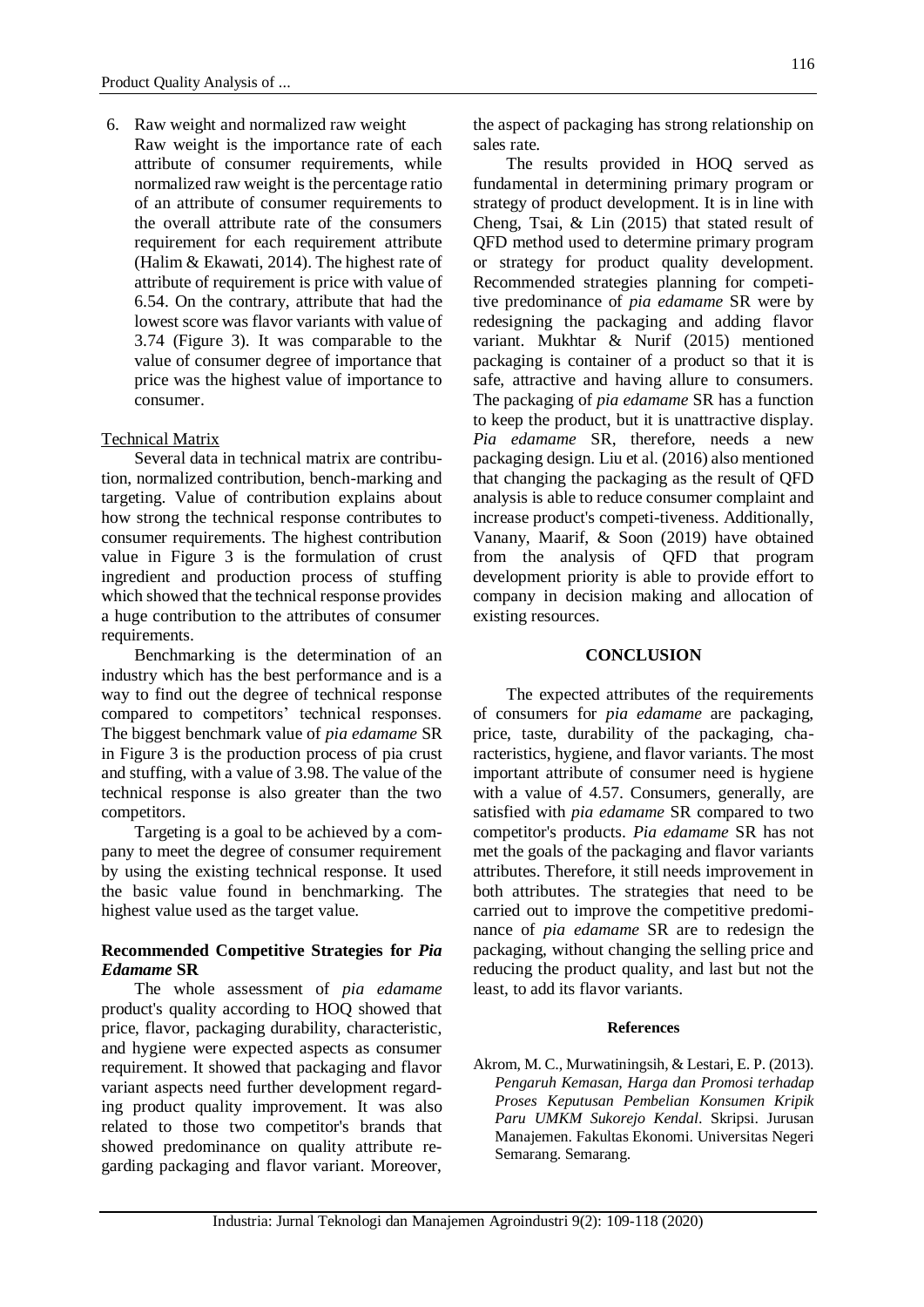Raw weight is the importance rate of each attribute of consumer requirements, while normalized raw weight is the percentage ratio of an attribute of consumer requirements to the overall attribute rate of the consumers requirement for each requirement attribute (Halim & Ekawati, 2014). The highest rate of attribute of requirement is price with value of 6.54. On the contrary, attribute that had the lowest score was flavor variants with value of 3.74 (Figure 3). It was comparable to the value of consumer degree of importance that price was the highest value of importance to consumer.

### Technical Matrix

Several data in technical matrix are contribution, normalized contribution, bench-marking and targeting. Value of contribution explains about how strong the technical response contributes to consumer requirements. The highest contribution value in Figure 3 is the formulation of crust ingredient and production process of stuffing which showed that the technical response provides a huge contribution to the attributes of consumer requirements.

Benchmarking is the determination of an industry which has the best performance and is a way to find out the degree of technical response compared to competitors' technical responses. The biggest benchmark value of *pia edamame* SR in Figure 3 is the production process of pia crust and stuffing, with a value of 3.98. The value of the technical response is also greater than the two competitors.

Targeting is a goal to be achieved by a company to meet the degree of consumer requirement by using the existing technical response. It used the basic value found in benchmarking. The highest value used as the target value.

## **Recommended Competitive Strategies for** *Pia Edamame* **SR**

The whole assessment of *pia edamame* product's quality according to HOQ showed that price, flavor, packaging durability, characteristic, and hygiene were expected aspects as consumer requirement. It showed that packaging and flavor variant aspects need further development regarding product quality improvement. It was also related to those two competitor's brands that showed predominance on quality attribute regarding packaging and flavor variant. Moreover,

the aspect of packaging has strong relationship on sales rate.

The results provided in HOQ served as fundamental in determining primary program or strategy of product development. It is in line with Cheng, Tsai, & Lin (2015) that stated result of QFD method used to determine primary program or strategy for product quality development. Recommended strategies planning for competitive predominance of *pia edamame* SR were by redesigning the packaging and adding flavor variant. Mukhtar & Nurif (2015) mentioned packaging is container of a product so that it is safe, attractive and having allure to consumers. The packaging of *pia edamame* SR has a function to keep the product, but it is unattractive display. *Pia edamame* SR, therefore, needs a new packaging design. Liu et al. (2016) also mentioned that changing the packaging as the result of QFD analysis is able to reduce consumer complaint and increase product's competi-tiveness. Additionally, Vanany, Maarif, & Soon (2019) have obtained from the analysis of QFD that program development priority is able to provide effort to company in decision making and allocation of existing resources.

### **CONCLUSION**

The expected attributes of the requirements of consumers for *pia edamame* are packaging, price, taste, durability of the packaging, characteristics, hygiene, and flavor variants. The most important attribute of consumer need is hygiene with a value of 4.57. Consumers, generally, are satisfied with *pia edamame* SR compared to two competitor's products. *Pia edamame* SR has not met the goals of the packaging and flavor variants attributes. Therefore, it still needs improvement in both attributes. The strategies that need to be carried out to improve the competitive predominance of *pia edamame* SR are to redesign the packaging, without changing the selling price and reducing the product quality, and last but not the least, to add its flavor variants.

#### **References**

Akrom, M. C., Murwatiningsih, & Lestari, E. P. (2013). *Pengaruh Kemasan, Harga dan Promosi terhadap Proses Keputusan Pembelian Konsumen Kripik Paru UMKM Sukorejo Kendal*. Skripsi. Jurusan Manajemen. Fakultas Ekonomi. Universitas Negeri Semarang. Semarang.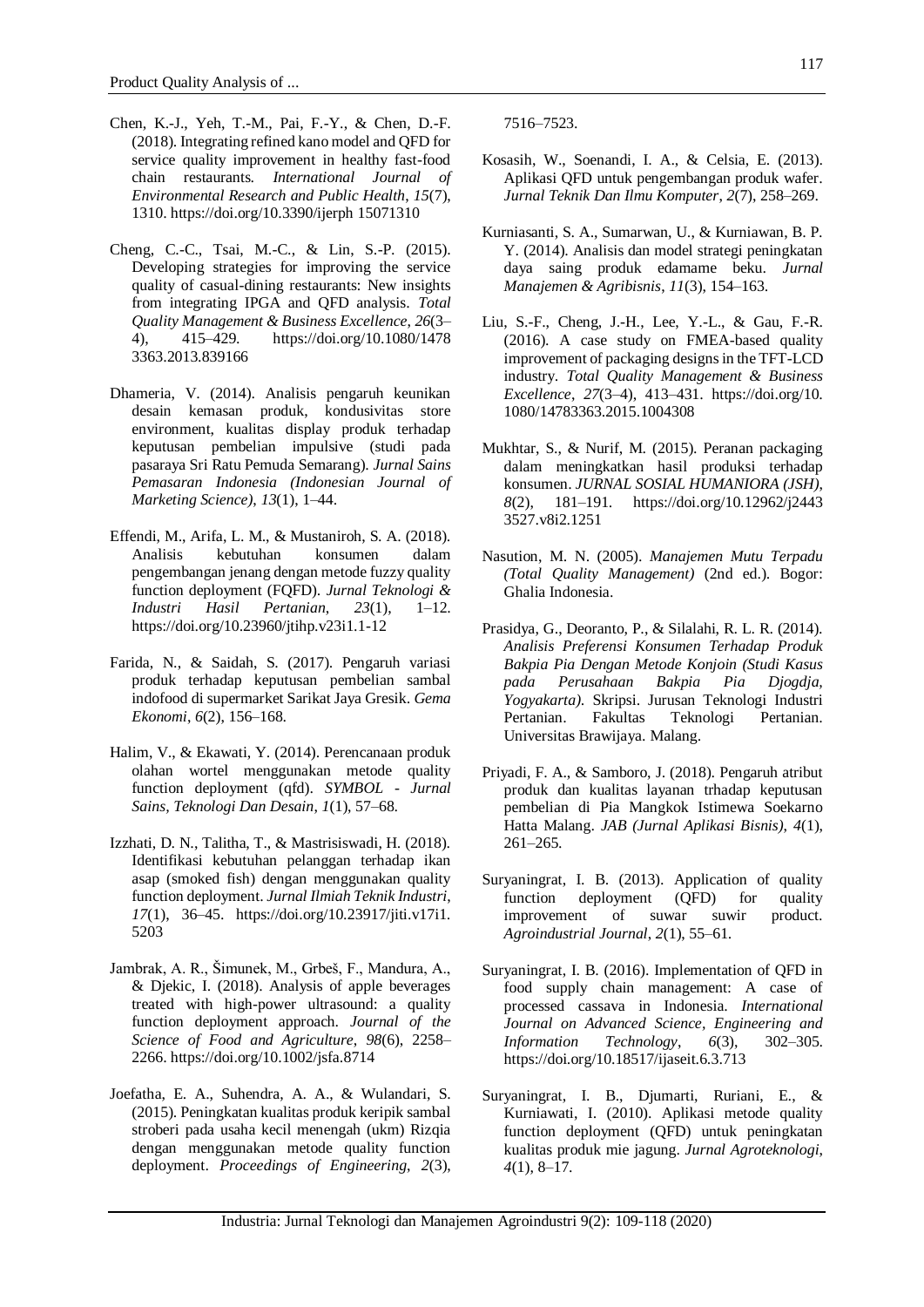- Chen, K.-J., Yeh, T.-M., Pai, F.-Y., & Chen, D.-F. (2018). Integrating refined kano model and QFD for service quality improvement in healthy fast-food chain restaurants. *International Journal of Environmental Research and Public Health*, *15*(7), 1310. https://doi.org/10.3390/ijerph 15071310
- Cheng, C.-C., Tsai, M.-C., & Lin, S.-P. (2015). Developing strategies for improving the service quality of casual-dining restaurants: New insights from integrating IPGA and QFD analysis. *Total Quality Management & Business Excellence*, *26*(3– 4), 415–429. https://doi.org/10.1080/1478 3363.2013.839166
- Dhameria, V. (2014). Analisis pengaruh keunikan desain kemasan produk, kondusivitas store environment, kualitas display produk terhadap keputusan pembelian impulsive (studi pada pasaraya Sri Ratu Pemuda Semarang). *Jurnal Sains Pemasaran Indonesia (Indonesian Journal of Marketing Science)*, *13*(1), 1–44.
- Effendi, M., Arifa, L. M., & Mustaniroh, S. A. (2018). Analisis kebutuhan konsumen dalam pengembangan jenang dengan metode fuzzy quality function deployment (FQFD). *Jurnal Teknologi & Industri Hasil Pertanian*, *23*(1), 1–12. https://doi.org/10.23960/jtihp.v23i1.1-12
- Farida, N., & Saidah, S. (2017). Pengaruh variasi produk terhadap keputusan pembelian sambal indofood di supermarket Sarikat Jaya Gresik. *Gema Ekonomi*, *6*(2), 156–168.
- Halim, V., & Ekawati, Y. (2014). Perencanaan produk olahan wortel menggunakan metode quality function deployment (qfd). *SYMBOL - Jurnal Sains, Teknologi Dan Desain*, *1*(1), 57–68.
- Izzhati, D. N., Talitha, T., & Mastrisiswadi, H. (2018). Identifikasi kebutuhan pelanggan terhadap ikan asap (smoked fish) dengan menggunakan quality function deployment. *Jurnal Ilmiah Teknik Industri*, *17*(1), 36–45. https://doi.org/10.23917/jiti.v17i1. 5203
- Jambrak, A. R., Šimunek, M., Grbeš, F., Mandura, A., & Djekic, I. (2018). Analysis of apple beverages treated with high-power ultrasound: a quality function deployment approach. *Journal of the Science of Food and Agriculture*, *98*(6), 2258– 2266. https://doi.org/10.1002/jsfa.8714
- Joefatha, E. A., Suhendra, A. A., & Wulandari, S. (2015). Peningkatan kualitas produk keripik sambal stroberi pada usaha kecil menengah (ukm) Rizqia dengan menggunakan metode quality function deployment. *Proceedings of Engineering*, *2*(3),

7516–7523.

- Kosasih, W., Soenandi, I. A., & Celsia, E. (2013). Aplikasi QFD untuk pengembangan produk wafer. *Jurnal Teknik Dan Ilmu Komputer*, *2*(7), 258–269.
- Kurniasanti, S. A., Sumarwan, U., & Kurniawan, B. P. Y. (2014). Analisis dan model strategi peningkatan daya saing produk edamame beku. *Jurnal Manajemen & Agribisnis*, *11*(3), 154–163.
- Liu, S.-F., Cheng, J.-H., Lee, Y.-L., & Gau, F.-R. (2016). A case study on FMEA-based quality improvement of packaging designs in the TFT-LCD industry. *Total Quality Management & Business Excellence*, *27*(3–4), 413–431. https://doi.org/10. 1080/14783363.2015.1004308
- Mukhtar, S., & Nurif, M. (2015). Peranan packaging dalam meningkatkan hasil produksi terhadap konsumen. *JURNAL SOSIAL HUMANIORA (JSH)*, *8*(2), 181–191. https://doi.org/10.12962/j2443 3527.v8i2.1251
- Nasution, M. N. (2005). *Manajemen Mutu Terpadu (Total Quality Management)* (2nd ed.). Bogor: Ghalia Indonesia.
- Prasidya, G., Deoranto, P., & Silalahi, R. L. R. (2014). *Analisis Preferensi Konsumen Terhadap Produk Bakpia Pia Dengan Metode Konjoin (Studi Kasus pada Perusahaan Bakpia Pia Djogdja, Yogyakarta)*. Skripsi. Jurusan Teknologi Industri Pertanian. Fakultas Teknologi Pertanian. Universitas Brawijaya. Malang.
- Priyadi, F. A., & Samboro, J. (2018). Pengaruh atribut produk dan kualitas layanan trhadap keputusan pembelian di Pia Mangkok Istimewa Soekarno Hatta Malang. *JAB (Jurnal Aplikasi Bisnis)*, *4*(1), 261–265.
- Suryaningrat, I. B. (2013). Application of quality function deployment (OFD) for quality improvement of suwar suwir product. *Agroindustrial Journal*, *2*(1), 55–61.
- Suryaningrat, I. B. (2016). Implementation of QFD in food supply chain management: A case of processed cassava in Indonesia. *International Journal on Advanced Science, Engineering and Information Technology*, *6*(3), 302–305. https://doi.org/10.18517/ijaseit.6.3.713
- Suryaningrat, I. B., Djumarti, Ruriani, E., & Kurniawati, I. (2010). Aplikasi metode quality function deployment (QFD) untuk peningkatan kualitas produk mie jagung. *Jurnal Agroteknologi*, *4*(1), 8–17.